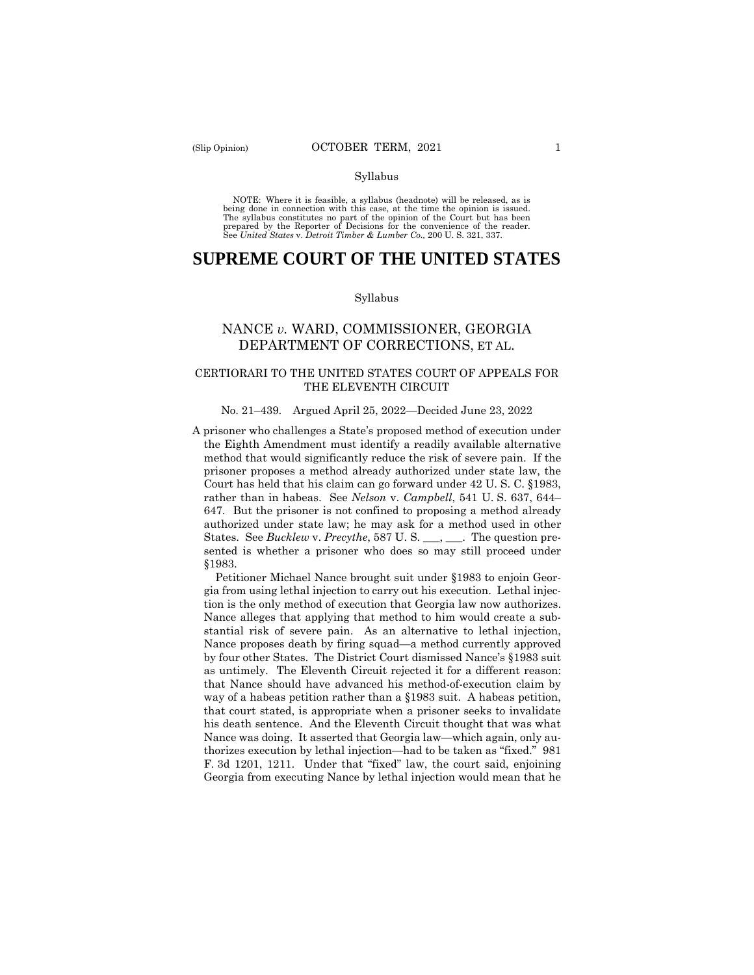#### Syllabus

 NOTE: Where it is feasible, a syllabus (headnote) will be released, as is being done in connection with this case, at the time the opinion is issued. The syllabus constitutes no part of the opinion of the Court but has been<br>prepared by the Reporter of Decisions for the convenience of the reader.<br>See United States v. Detroit Timber & Lumber Co., 200 U.S. 321, 337.

# **SUPREME COURT OF THE UNITED STATES**

#### Syllabus

## NANCE *v.* WARD, COMMISSIONER, GEORGIA DEPARTMENT OF CORRECTIONS, ET AL.

## CERTIORARI TO THE UNITED STATES COURT OF APPEALS FOR THE ELEVENTH CIRCUIT

#### No. 21–439. Argued April 25, 2022—Decided June 23, 2022

A prisoner who challenges a State's proposed method of execution under the Eighth Amendment must identify a readily available alternative method that would significantly reduce the risk of severe pain. If the prisoner proposes a method already authorized under state law, the Court has held that his claim can go forward under 42 U. S. C. §1983, rather than in habeas. See *Nelson* v. *Campbell*, 541 U. S. 637, 644– 647. But the prisoner is not confined to proposing a method already authorized under state law; he may ask for a method used in other States. See *Bucklew* v. *Precythe*, 587 U. S. \_\_\_, \_\_\_. The question presented is whether a prisoner who does so may still proceed under §1983.

Petitioner Michael Nance brought suit under §1983 to enjoin Georgia from using lethal injection to carry out his execution. Lethal injection is the only method of execution that Georgia law now authorizes. Nance alleges that applying that method to him would create a substantial risk of severe pain. As an alternative to lethal injection, Nance proposes death by firing squad—a method currently approved by four other States. The District Court dismissed Nance's §1983 suit as untimely. The Eleventh Circuit rejected it for a different reason: that Nance should have advanced his method-of-execution claim by way of a habeas petition rather than a §1983 suit. A habeas petition, that court stated, is appropriate when a prisoner seeks to invalidate his death sentence. And the Eleventh Circuit thought that was what Nance was doing. It asserted that Georgia law—which again, only authorizes execution by lethal injection—had to be taken as "fixed." 981 F. 3d 1201, 1211. Under that "fixed" law, the court said, enjoining Georgia from executing Nance by lethal injection would mean that he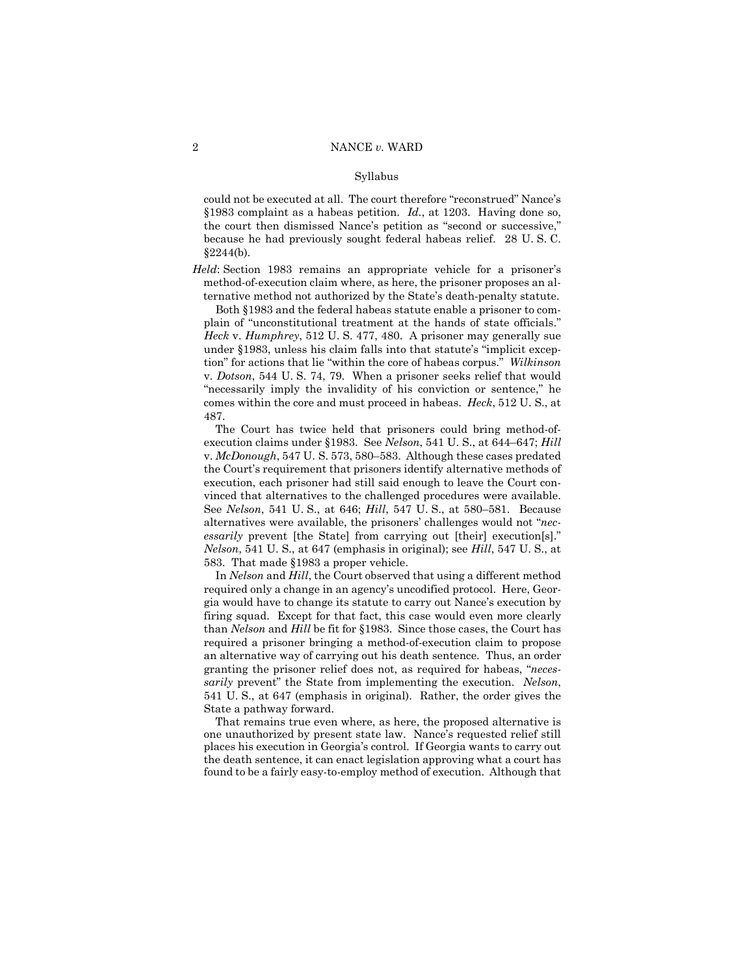#### Syllabus

could not be executed at all. The court therefore "reconstrued" Nance's §1983 complaint as a habeas petition. *Id.*, at 1203. Having done so, the court then dismissed Nance's petition as "second or successive," because he had previously sought federal habeas relief. 28 U. S. C.  $§2244(b).$ 

*Held*: Section 1983 remains an appropriate vehicle for a prisoner's method-of-execution claim where, as here, the prisoner proposes an alternative method not authorized by the State's death-penalty statute.

 tion" for actions that lie "within the core of habeas corpus." *Wilkinson*  Both §1983 and the federal habeas statute enable a prisoner to complain of "unconstitutional treatment at the hands of state officials." *Heck* v. *Humphrey*, 512 U. S. 477, 480. A prisoner may generally sue under §1983, unless his claim falls into that statute's "implicit excepv. *Dotson*, 544 U. S. 74, 79. When a prisoner seeks relief that would "necessarily imply the invalidity of his conviction or sentence," he comes within the core and must proceed in habeas. *Heck*, 512 U. S., at 487.

The Court has twice held that prisoners could bring method-ofexecution claims under §1983. See *Nelson*, 541 U. S., at 644–647; *Hill*  v. *McDonough*, 547 U. S. 573, 580–583. Although these cases predated the Court's requirement that prisoners identify alternative methods of execution, each prisoner had still said enough to leave the Court convinced that alternatives to the challenged procedures were available. See *Nelson*, 541 U. S., at 646; *Hill*, 547 U. S., at 580–581. Because alternatives were available, the prisoners' challenges would not "*necessarily* prevent [the State] from carrying out [their] execution[s]." *Nelson*, 541 U. S., at 647 (emphasis in original); see *Hill*, 547 U. S., at 583. That made §1983 a proper vehicle.

In *Nelson* and *Hill*, the Court observed that using a different method required only a change in an agency's uncodified protocol. Here, Georgia would have to change its statute to carry out Nance's execution by firing squad. Except for that fact, this case would even more clearly than *Nelson* and *Hill* be fit for §1983. Since those cases, the Court has required a prisoner bringing a method-of-execution claim to propose an alternative way of carrying out his death sentence. Thus, an order granting the prisoner relief does not, as required for habeas, "*necessarily* prevent" the State from implementing the execution. *Nelson*, 541 U. S., at 647 (emphasis in original). Rather, the order gives the State a pathway forward.

That remains true even where, as here, the proposed alternative is one unauthorized by present state law. Nance's requested relief still places his execution in Georgia's control. If Georgia wants to carry out the death sentence, it can enact legislation approving what a court has found to be a fairly easy-to-employ method of execution. Although that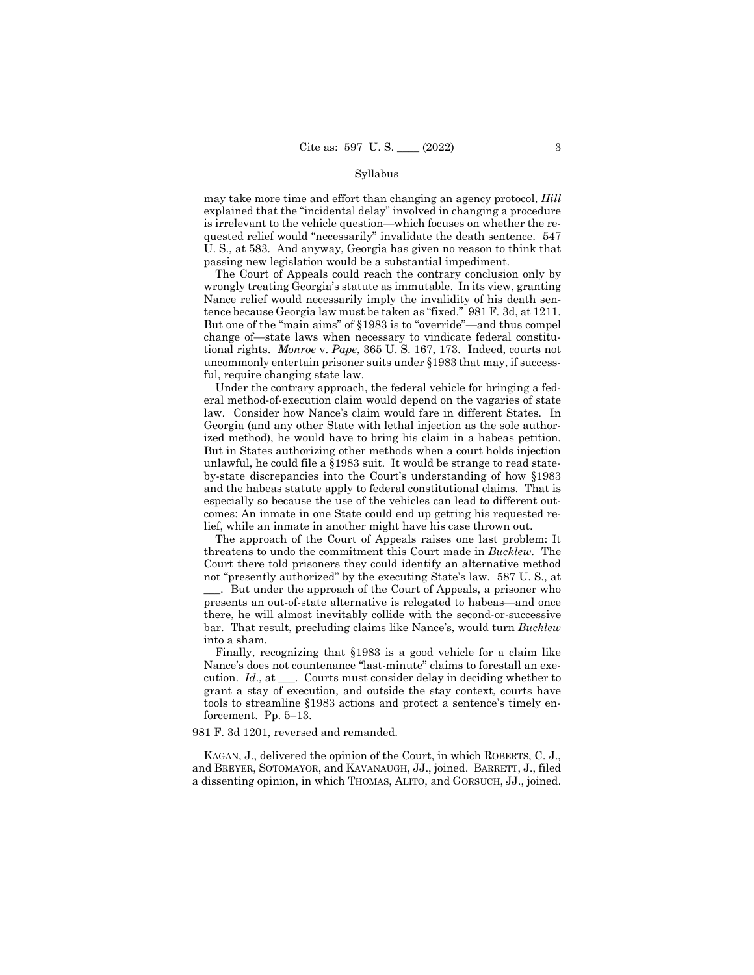#### Syllabus

may take more time and effort than changing an agency protocol, *Hill*  explained that the "incidental delay" involved in changing a procedure is irrelevant to the vehicle question—which focuses on whether the requested relief would "necessarily" invalidate the death sentence. 547 U. S., at 583. And anyway, Georgia has given no reason to think that passing new legislation would be a substantial impediment.

tence because Georgia law must be taken as "fixed." 981 F. 3d, at 1211. The Court of Appeals could reach the contrary conclusion only by wrongly treating Georgia's statute as immutable. In its view, granting Nance relief would necessarily imply the invalidity of his death sen-But one of the "main aims" of §1983 is to "override"—and thus compel change of—state laws when necessary to vindicate federal constitutional rights. *Monroe* v. *Pape*, 365 U. S. 167, 173. Indeed, courts not uncommonly entertain prisoner suits under §1983 that may, if successful, require changing state law.

Under the contrary approach, the federal vehicle for bringing a federal method-of-execution claim would depend on the vagaries of state law. Consider how Nance's claim would fare in different States. In Georgia (and any other State with lethal injection as the sole authorized method), he would have to bring his claim in a habeas petition. But in States authorizing other methods when a court holds injection unlawful, he could file a §1983 suit. It would be strange to read stateby-state discrepancies into the Court's understanding of how §1983 and the habeas statute apply to federal constitutional claims. That is especially so because the use of the vehicles can lead to different outcomes: An inmate in one State could end up getting his requested relief, while an inmate in another might have his case thrown out.

The approach of the Court of Appeals raises one last problem: It threatens to undo the commitment this Court made in *Bucklew*. The Court there told prisoners they could identify an alternative method not "presently authorized" by the executing State's law. 587 U. S., at \_\_\_. But under the approach of the Court of Appeals, a prisoner who presents an out-of-state alternative is relegated to habeas—and once there, he will almost inevitably collide with the second-or-successive bar. That result, precluding claims like Nance's, would turn *Bucklew*  into a sham.

Finally, recognizing that §1983 is a good vehicle for a claim like Nance's does not countenance "last-minute" claims to forestall an execution. *Id*., at \_\_\_. Courts must consider delay in deciding whether to grant a stay of execution, and outside the stay context, courts have tools to streamline §1983 actions and protect a sentence's timely enforcement. Pp. 5–13.

981 F. 3d 1201, reversed and remanded.

KAGAN, J., delivered the opinion of the Court, in which ROBERTS, C. J., and BREYER, SOTOMAYOR, and KAVANAUGH, JJ., joined. BARRETT, J., filed a dissenting opinion, in which THOMAS, ALITO, and GORSUCH, JJ., joined.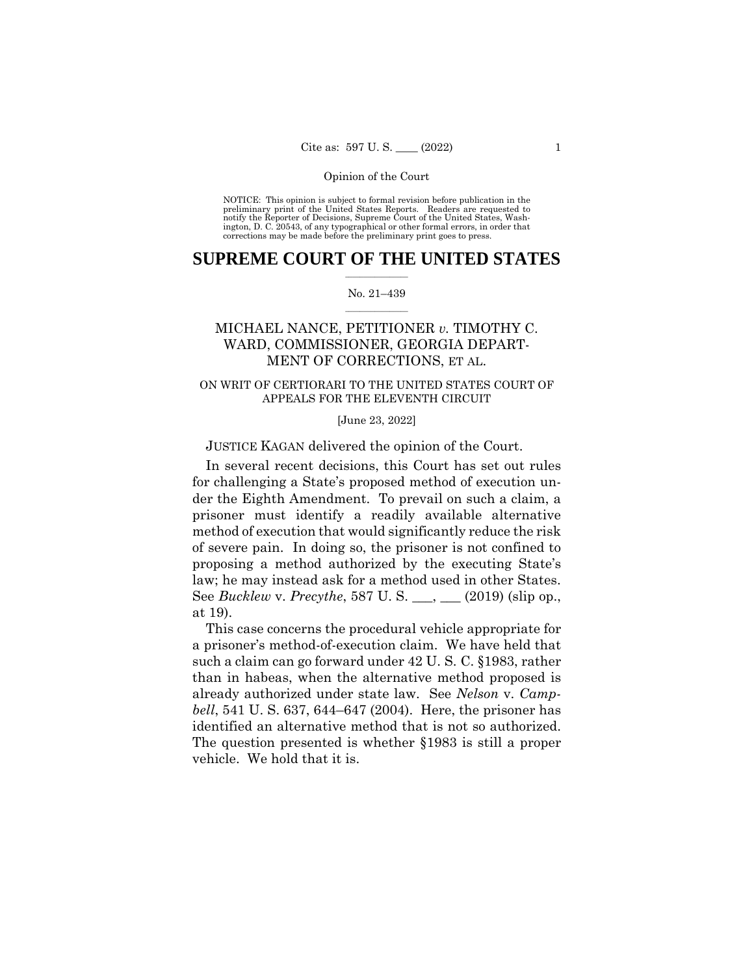NOTICE: This opinion is subject to formal revision before publication in the preliminary print of the United States Reports. Readers are requested to notify the Reporter of Decisions, Supreme Court of the United States, Wash-ington, D. C. 20543, of any typographical or other formal errors, in order that corrections may be made before the preliminary print goes to press.

## $\frac{1}{2}$  ,  $\frac{1}{2}$  ,  $\frac{1}{2}$  ,  $\frac{1}{2}$  ,  $\frac{1}{2}$  ,  $\frac{1}{2}$  ,  $\frac{1}{2}$ **SUPREME COURT OF THE UNITED STATES**

#### $\frac{1}{2}$  ,  $\frac{1}{2}$  ,  $\frac{1}{2}$  ,  $\frac{1}{2}$  ,  $\frac{1}{2}$  ,  $\frac{1}{2}$ No. 21–439

## MICHAEL NANCE, PETITIONER *v.* TIMOTHY C. WARD, COMMISSIONER, GEORGIA DEPART-MENT OF CORRECTIONS, ET AL.

## ON WRIT OF CERTIORARI TO THE UNITED STATES COURT OF APPEALS FOR THE ELEVENTH CIRCUIT

[June 23, 2022]

JUSTICE KAGAN delivered the opinion of the Court.

 law; he may instead ask for a method used in other States. In several recent decisions, this Court has set out rules for challenging a State's proposed method of execution under the Eighth Amendment. To prevail on such a claim, a prisoner must identify a readily available alternative method of execution that would significantly reduce the risk of severe pain. In doing so, the prisoner is not confined to proposing a method authorized by the executing State's See *Bucklew* v. *Precythe*, 587 U. S. \_\_\_, \_\_\_ (2019) (slip op., at 19).

identified an alternative method that is not so authorized. This case concerns the procedural vehicle appropriate for a prisoner's method-of-execution claim. We have held that such a claim can go forward under 42 U. S. C. §1983, rather than in habeas, when the alternative method proposed is already authorized under state law. See *Nelson* v. *Campbell*, 541 U. S. 637, 644–647 (2004). Here, the prisoner has The question presented is whether §1983 is still a proper vehicle. We hold that it is.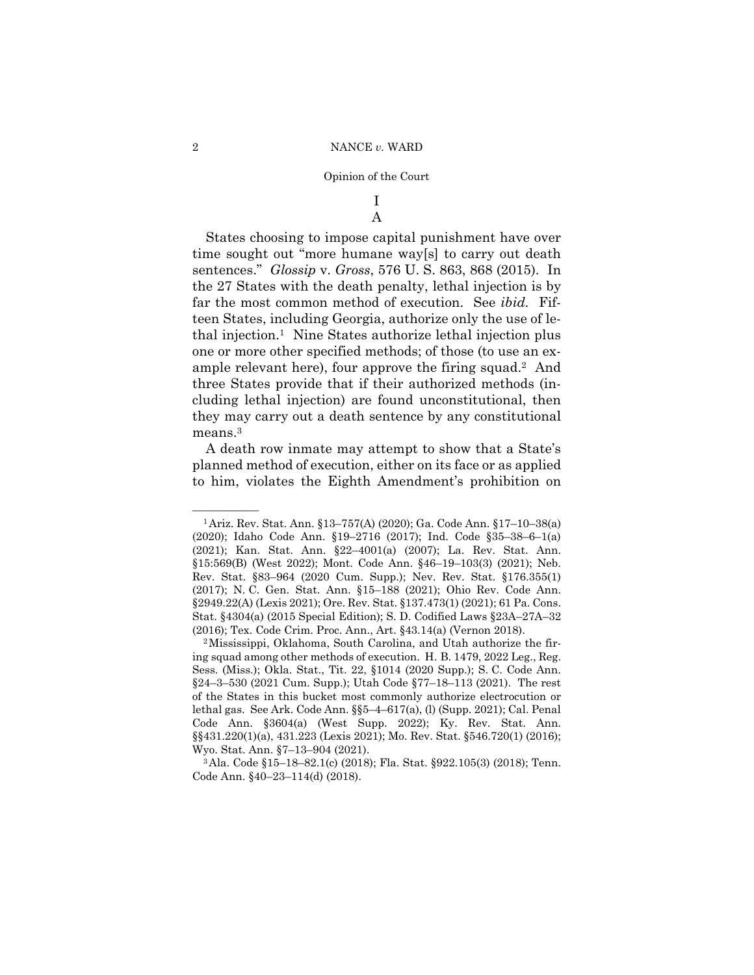## I A

States choosing to impose capital punishment have over time sought out "more humane way[s] to carry out death sentences." *Glossip* v. *Gross*, 576 U. S. 863, 868 (2015). In the 27 States with the death penalty, lethal injection is by far the most common method of execution. See *ibid.* Fifteen States, including Georgia, authorize only the use of lethal injection.1 Nine States authorize lethal injection plus one or more other specified methods; of those (to use an example relevant here), four approve the firing squad.2 And three States provide that if their authorized methods (including lethal injection) are found unconstitutional, then they may carry out a death sentence by any constitutional means.<sup>3</sup>

A death row inmate may attempt to show that a State's planned method of execution, either on its face or as applied to him, violates the Eighth Amendment's prohibition on

Wyo. Stat. Ann. §7–13–904 (2021). 3Ala. Code §15–18–82.1(c) (2018); Fla. Stat. §922.105(3) (2018); Tenn. Code Ann. §40–23–114(d) (2018).

<sup>&</sup>lt;sup>1</sup> Ariz. Rev. Stat. Ann. §13–757(A) (2020); Ga. Code Ann. §17–10–38(a) (2020); Idaho Code Ann. §19–2716 (2017); Ind. Code §35–38–6–1(a) (2021); Kan. Stat. Ann. §22–4001(a) (2007); La. Rev. Stat. Ann. §15:569(B) (West 2022); Mont. Code Ann. §46–19–103(3) (2021); Neb. Rev. Stat. §83–964 (2020 Cum. Supp.); Nev. Rev. Stat. §176.355(1) (2017); N. C. Gen. Stat. Ann. §15–188 (2021); Ohio Rev. Code Ann. §2949.22(A) (Lexis 2021); Ore. Rev. Stat. §137.473(1) (2021); 61 Pa. Cons. Stat. §4304(a) (2015 Special Edition); S. D. Codified Laws §23A–27A–32 (2016); Tex. Code Crim. Proc. Ann., Art. §43.14(a) (Vernon 2018). 2Mississippi, Oklahoma, South Carolina, and Utah authorize the fir-

ing squad among other methods of execution. H. B. 1479, 2022 Leg., Reg. Sess. (Miss.); Okla. Stat., Tit. 22, §1014 (2020 Supp.); S. C. Code Ann. §24–3–530 (2021 Cum. Supp.); Utah Code §77–18–113 (2021). The rest of the States in this bucket most commonly authorize electrocution or lethal gas. See Ark. Code Ann. §§5–4–617(a), (l) (Supp. 2021); Cal. Penal Code Ann. §3604(a) (West Supp. 2022); Ky. Rev. Stat. Ann. §§431.220(1)(a), 431.223 (Lexis 2021); Mo. Rev. Stat. §546.720(1) (2016);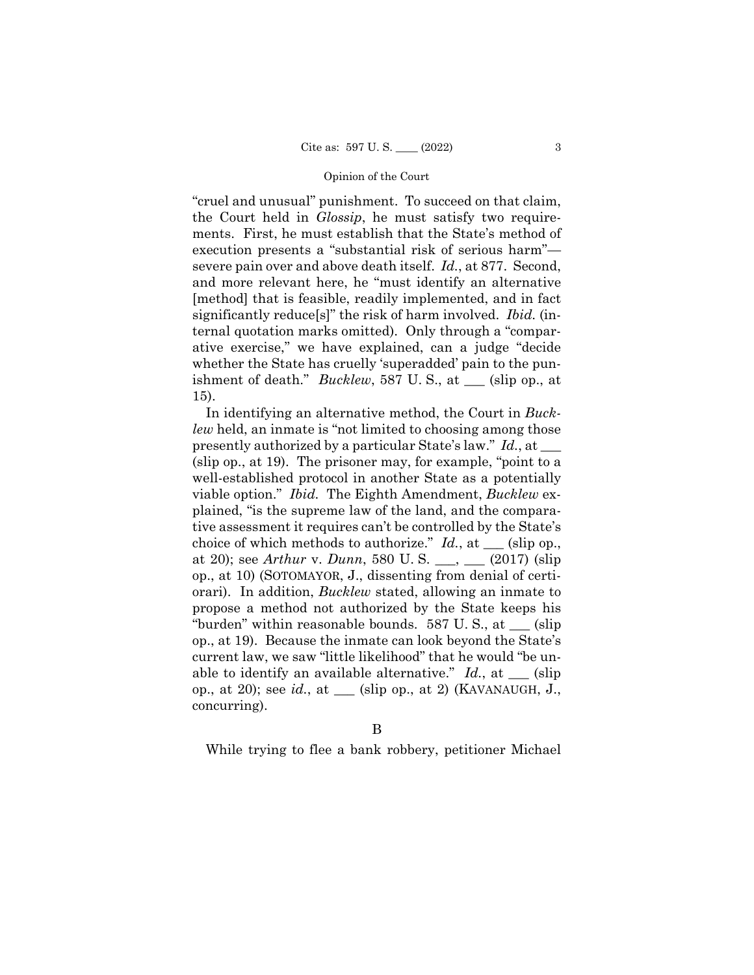"cruel and unusual" punishment. To succeed on that claim, the Court held in *Glossip*, he must satisfy two requirements. First, he must establish that the State's method of execution presents a "substantial risk of serious harm" severe pain over and above death itself. *Id.*, at 877. Second, and more relevant here, he "must identify an alternative [method] that is feasible, readily implemented, and in fact significantly reduce[s]" the risk of harm involved. *Ibid.* (internal quotation marks omitted). Only through a "comparative exercise," we have explained, can a judge "decide whether the State has cruelly 'superadded' pain to the punishment of death." *Bucklew*, 587 U. S., at \_\_\_ (slip op., at 15).

In identifying an alternative method, the Court in *Bucklew* held, an inmate is "not limited to choosing among those presently authorized by a particular State's law." *Id.*, at \_\_\_ (slip op., at 19). The prisoner may, for example, "point to a well-established protocol in another State as a potentially viable option." *Ibid.* The Eighth Amendment, *Bucklew* explained, "is the supreme law of the land, and the comparative assessment it requires can't be controlled by the State's choice of which methods to authorize." *Id.*, at \_\_\_ (slip op., at 20); see *Arthur* v. *Dunn*, 580 U. S. \_\_\_, \_\_\_ (2017) (slip op., at 10) (SOTOMAYOR, J., dissenting from denial of certiorari). In addition, *Bucklew* stated, allowing an inmate to propose a method not authorized by the State keeps his "burden" within reasonable bounds. 587 U. S., at \_\_\_ (slip op., at 19). Because the inmate can look beyond the State's current law, we saw "little likelihood" that he would "be unable to identify an available alternative."  $Id.$ , at  $\_\_\_$  (slip) op., at 20); see *id.*, at \_\_\_ (slip op., at 2) (KAVANAUGH, J., concurring).

B

While trying to flee a bank robbery, petitioner Michael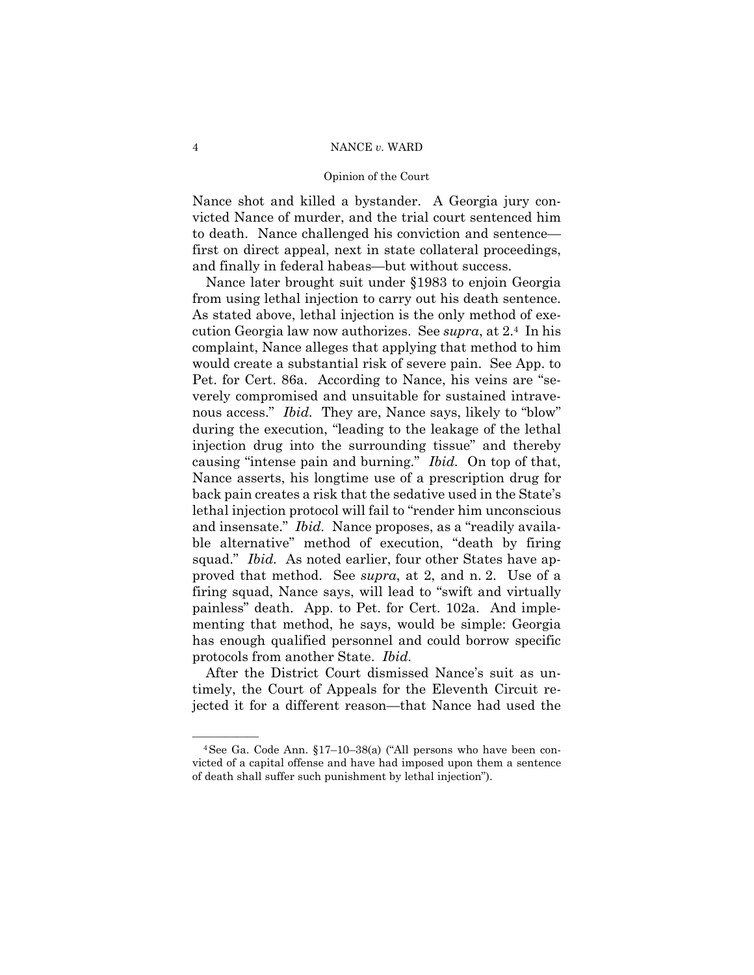#### Opinion of the Court

Nance shot and killed a bystander. A Georgia jury convicted Nance of murder, and the trial court sentenced him to death. Nance challenged his conviction and sentence first on direct appeal, next in state collateral proceedings, and finally in federal habeas—but without success.

 from using lethal injection to carry out his death sentence. causing "intense pain and burning." *Ibid.* On top of that, Nance later brought suit under §1983 to enjoin Georgia As stated above, lethal injection is the only method of execution Georgia law now authorizes. See *supra*, at 2.4 In his complaint, Nance alleges that applying that method to him would create a substantial risk of severe pain. See App. to Pet. for Cert. 86a. According to Nance, his veins are "severely compromised and unsuitable for sustained intravenous access." *Ibid.* They are, Nance says, likely to "blow" during the execution, "leading to the leakage of the lethal injection drug into the surrounding tissue" and thereby Nance asserts, his longtime use of a prescription drug for back pain creates a risk that the sedative used in the State's lethal injection protocol will fail to "render him unconscious and insensate." *Ibid.* Nance proposes, as a "readily available alternative" method of execution, "death by firing squad." *Ibid.* As noted earlier, four other States have approved that method. See *supra*, at 2, and n. 2. Use of a firing squad, Nance says, will lead to "swift and virtually painless" death. App. to Pet. for Cert. 102a. And implementing that method, he says, would be simple: Georgia has enough qualified personnel and could borrow specific protocols from another State. *Ibid.* 

After the District Court dismissed Nance's suit as untimely, the Court of Appeals for the Eleventh Circuit rejected it for a different reason—that Nance had used the

 $4$ See Ga. Code Ann. §17-10-38(a) ("All persons who have been convicted of a capital offense and have had imposed upon them a sentence of death shall suffer such punishment by lethal injection").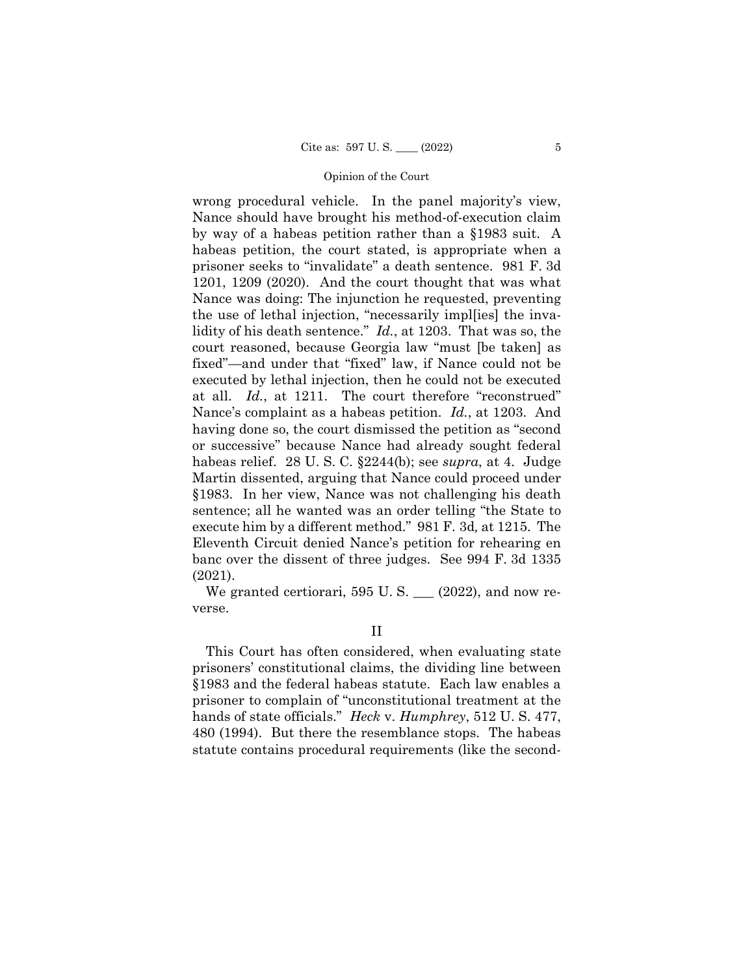at all. *Id.*, at 1211. The court therefore "reconstrued"  execute him by a different method." 981 F. 3d*,* at 1215. The wrong procedural vehicle. In the panel majority's view, Nance should have brought his method-of-execution claim by way of a habeas petition rather than a §1983 suit. A habeas petition, the court stated, is appropriate when a prisoner seeks to "invalidate" a death sentence. 981 F. 3d 1201, 1209 (2020). And the court thought that was what Nance was doing: The injunction he requested, preventing the use of lethal injection, "necessarily impl[ies] the invalidity of his death sentence." *Id.*, at 1203. That was so, the court reasoned, because Georgia law "must [be taken] as fixed"—and under that "fixed" law, if Nance could not be executed by lethal injection, then he could not be executed Nance's complaint as a habeas petition. *Id.*, at 1203. And having done so, the court dismissed the petition as "second or successive" because Nance had already sought federal habeas relief. 28 U. S. C. §2244(b); see *supra*, at 4. Judge Martin dissented, arguing that Nance could proceed under §1983. In her view, Nance was not challenging his death sentence; all he wanted was an order telling "the State to Eleventh Circuit denied Nance's petition for rehearing en banc over the dissent of three judges. See 994 F. 3d 1335 (2021).

We granted certiorari, 595 U.S.  $\_\_$  (2022), and now reverse.

II

This Court has often considered, when evaluating state prisoners' constitutional claims, the dividing line between §1983 and the federal habeas statute. Each law enables a prisoner to complain of "unconstitutional treatment at the hands of state officials." *Heck* v. *Humphrey*, 512 U. S. 477, 480 (1994). But there the resemblance stops. The habeas statute contains procedural requirements (like the second-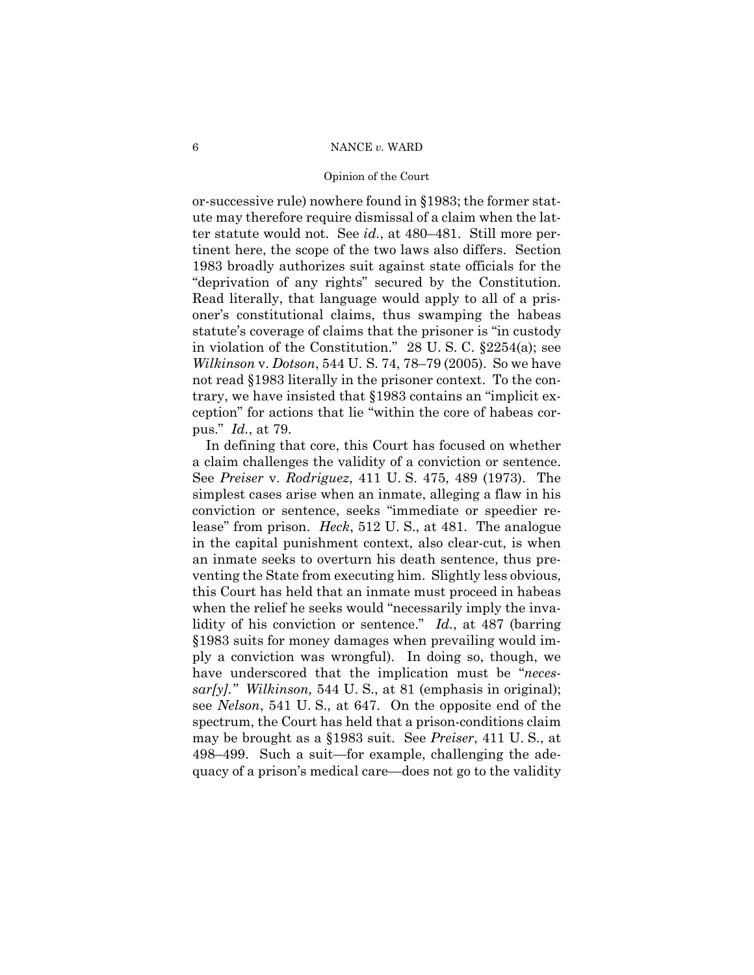#### Opinion of the Court

or-successive rule) nowhere found in §1983; the former statute may therefore require dismissal of a claim when the latter statute would not. See *id.*, at 480–481. Still more pertinent here, the scope of the two laws also differs. Section 1983 broadly authorizes suit against state officials for the "deprivation of any rights" secured by the Constitution. Read literally, that language would apply to all of a prisoner's constitutional claims, thus swamping the habeas statute's coverage of claims that the prisoner is "in custody in violation of the Constitution." 28 U. S. C. §2254(a); see *Wilkinson* v. *Dotson*, 544 U. S. 74, 78–79 (2005). So we have not read §1983 literally in the prisoner context. To the contrary, we have insisted that §1983 contains an "implicit exception" for actions that lie "within the core of habeas corpus." *Id.*, at 79.

498–499. Such a suit—for example, challenging the ade-In defining that core, this Court has focused on whether a claim challenges the validity of a conviction or sentence. See *Preiser* v. *Rodriguez*, 411 U. S. 475, 489 (1973). The simplest cases arise when an inmate, alleging a flaw in his conviction or sentence, seeks "immediate or speedier release" from prison. *Heck*, 512 U. S., at 481. The analogue in the capital punishment context, also clear-cut, is when an inmate seeks to overturn his death sentence, thus preventing the State from executing him. Slightly less obvious, this Court has held that an inmate must proceed in habeas when the relief he seeks would "necessarily imply the invalidity of his conviction or sentence." *Id.*, at 487 (barring §1983 suits for money damages when prevailing would imply a conviction was wrongful). In doing so, though, we have underscored that the implication must be "*necessar[y]*.*" Wilkinson,* 544 U. S., at 81 (emphasis in original); see *Nelson*, 541 U. S., at 647. On the opposite end of the spectrum, the Court has held that a prison-conditions claim may be brought as a §1983 suit. See *Preiser*, 411 U. S., at quacy of a prison's medical care—does not go to the validity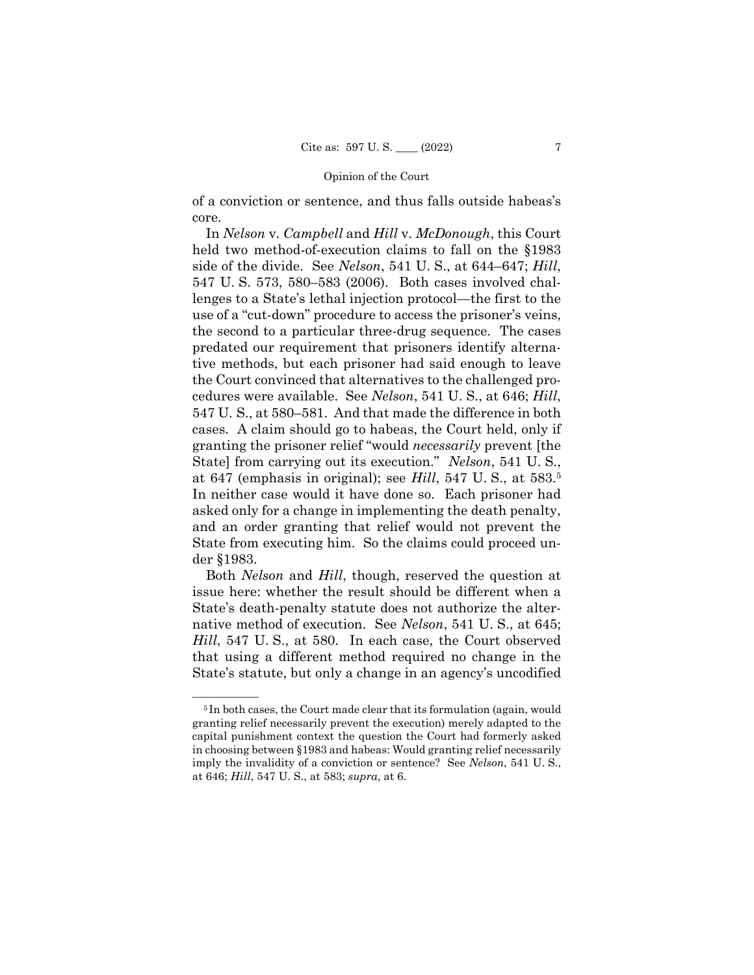of a conviction or sentence, and thus falls outside habeas's core.

 at 647 (emphasis in original); see *Hill*, 547 U. S., at 583.5 In *Nelson* v. *Campbell* and *Hill* v. *McDonough*, this Court held two method-of-execution claims to fall on the §1983 side of the divide. See *Nelson*, 541 U. S., at 644–647; *Hill*, 547 U. S. 573, 580–583 (2006). Both cases involved challenges to a State's lethal injection protocol—the first to the use of a "cut-down" procedure to access the prisoner's veins, the second to a particular three-drug sequence. The cases predated our requirement that prisoners identify alternative methods, but each prisoner had said enough to leave the Court convinced that alternatives to the challenged procedures were available. See *Nelson*, 541 U. S., at 646; *Hill*, 547 U. S., at 580–581. And that made the difference in both cases. A claim should go to habeas, the Court held, only if granting the prisoner relief "would *necessarily* prevent [the State] from carrying out its execution." *Nelson*, 541 U. S., In neither case would it have done so. Each prisoner had asked only for a change in implementing the death penalty, and an order granting that relief would not prevent the State from executing him. So the claims could proceed under §1983.

Both *Nelson* and *Hill*, though, reserved the question at issue here: whether the result should be different when a State's death-penalty statute does not authorize the alternative method of execution. See *Nelson*, 541 U. S., at 645; *Hill*, 547 U. S., at 580. In each case, the Court observed that using a different method required no change in the State's statute, but only a change in an agency's uncodified

<sup>&</sup>lt;sup>5</sup>In both cases, the Court made clear that its formulation (again, would granting relief necessarily prevent the execution) merely adapted to the capital punishment context the question the Court had formerly asked in choosing between §1983 and habeas: Would granting relief necessarily imply the invalidity of a conviction or sentence? See *Nelson*, 541 U. S., at 646; *Hill*, 547 U. S., at 583; *supra*, at 6.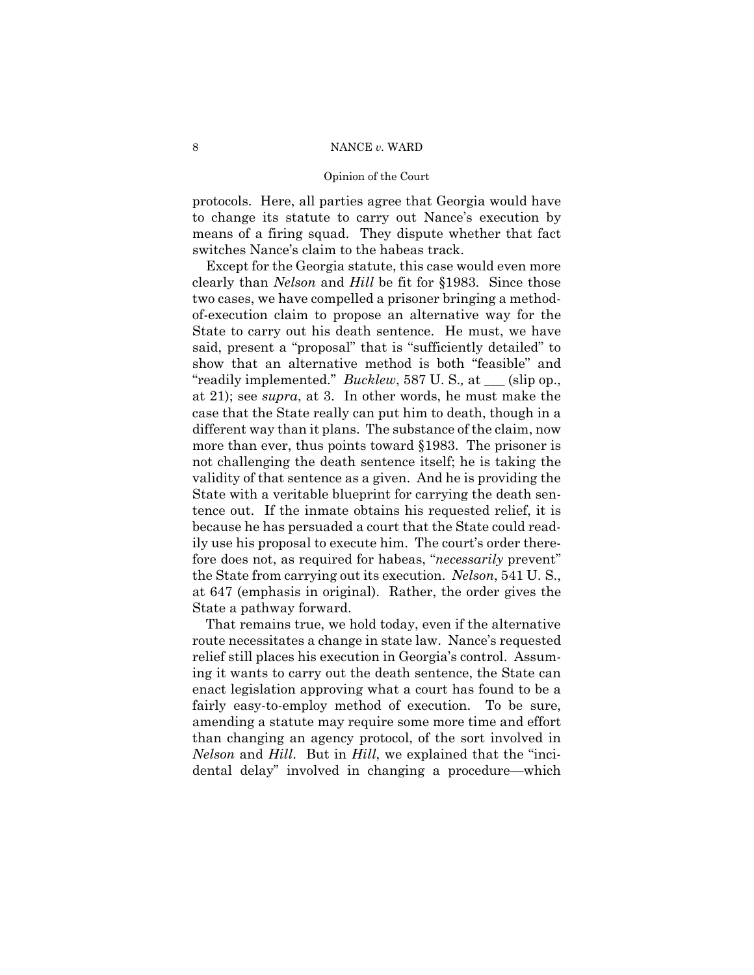#### Opinion of the Court

protocols. Here, all parties agree that Georgia would have to change its statute to carry out Nance's execution by means of a firing squad. They dispute whether that fact switches Nance's claim to the habeas track.

Except for the Georgia statute, this case would even more clearly than *Nelson* and *Hill* be fit for §1983. Since those two cases, we have compelled a prisoner bringing a methodof-execution claim to propose an alternative way for the State to carry out his death sentence. He must, we have said, present a "proposal" that is "sufficiently detailed" to show that an alternative method is both "feasible" and "readily implemented." *Bucklew*, 587 U. S.*,* at \_\_\_ (slip op., at 21); see *supra*, at 3. In other words, he must make the case that the State really can put him to death, though in a different way than it plans. The substance of the claim, now more than ever, thus points toward §1983. The prisoner is not challenging the death sentence itself; he is taking the validity of that sentence as a given. And he is providing the State with a veritable blueprint for carrying the death sentence out. If the inmate obtains his requested relief, it is because he has persuaded a court that the State could readily use his proposal to execute him. The court's order therefore does not, as required for habeas, "*necessarily* prevent" the State from carrying out its execution. *Nelson*, 541 U. S., at 647 (emphasis in original). Rather, the order gives the State a pathway forward.

That remains true, we hold today, even if the alternative route necessitates a change in state law. Nance's requested relief still places his execution in Georgia's control. Assuming it wants to carry out the death sentence, the State can enact legislation approving what a court has found to be a fairly easy-to-employ method of execution. To be sure, amending a statute may require some more time and effort than changing an agency protocol, of the sort involved in *Nelson* and *Hill*. But in *Hill*, we explained that the "incidental delay" involved in changing a procedure—which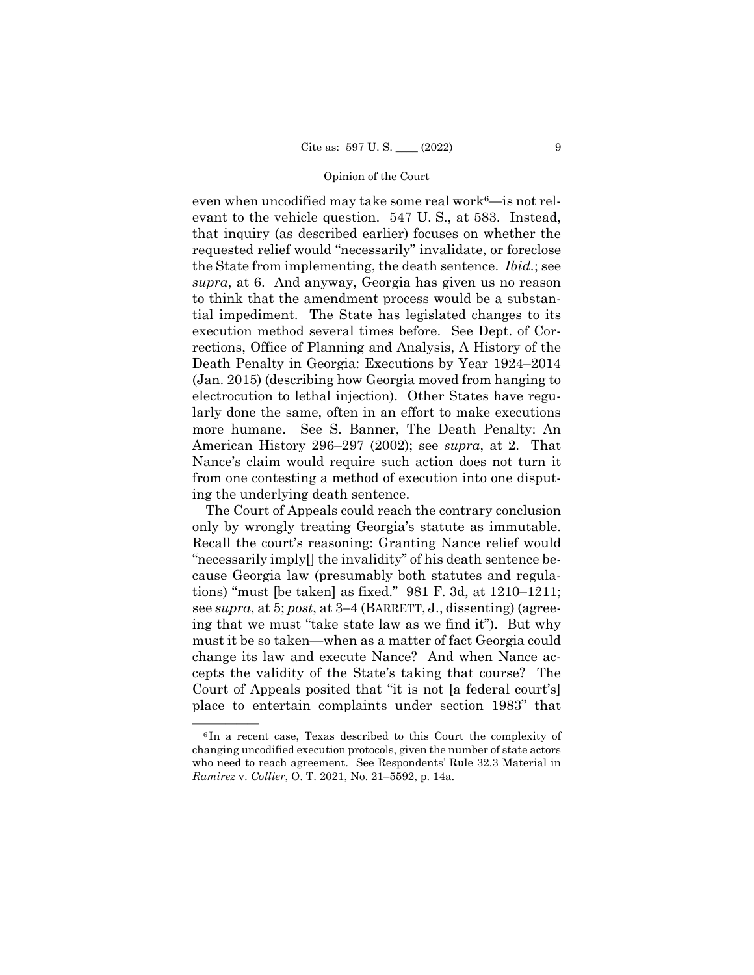even when uncodified may take some real work $6$ —is not relevant to the vehicle question. 547 U. S., at 583. Instead, that inquiry (as described earlier) focuses on whether the requested relief would "necessarily" invalidate, or foreclose the State from implementing, the death sentence. *Ibid.*; see *supra*, at 6. And anyway, Georgia has given us no reason to think that the amendment process would be a substantial impediment. The State has legislated changes to its execution method several times before. See Dept. of Corrections, Office of Planning and Analysis, A History of the Death Penalty in Georgia: Executions by Year 1924–2014 (Jan. 2015) (describing how Georgia moved from hanging to electrocution to lethal injection). Other States have regularly done the same, often in an effort to make executions more humane. See S. Banner, The Death Penalty: An American History 296–297 (2002); see *supra*, at 2. That Nance's claim would require such action does not turn it from one contesting a method of execution into one disputing the underlying death sentence.

 see *supra*, at 5; *post*, at 3–4 (BARRETT, J., dissenting) (agree- change its law and execute Nance? And when Nance ac-The Court of Appeals could reach the contrary conclusion only by wrongly treating Georgia's statute as immutable. Recall the court's reasoning: Granting Nance relief would "necessarily imply[] the invalidity" of his death sentence because Georgia law (presumably both statutes and regulations) "must [be taken] as fixed." 981 F. 3d, at 1210–1211; ing that we must "take state law as we find it"). But why must it be so taken—when as a matter of fact Georgia could cepts the validity of the State's taking that course? The Court of Appeals posited that "it is not [a federal court's] place to entertain complaints under section 1983" that

 ${}^6$ In a recent case, Texas described to this Court the complexity of changing uncodified execution protocols, given the number of state actors who need to reach agreement. See Respondents' Rule 32.3 Material in *Ramirez* v. *Collier*, O. T. 2021, No. 21–5592, p. 14a.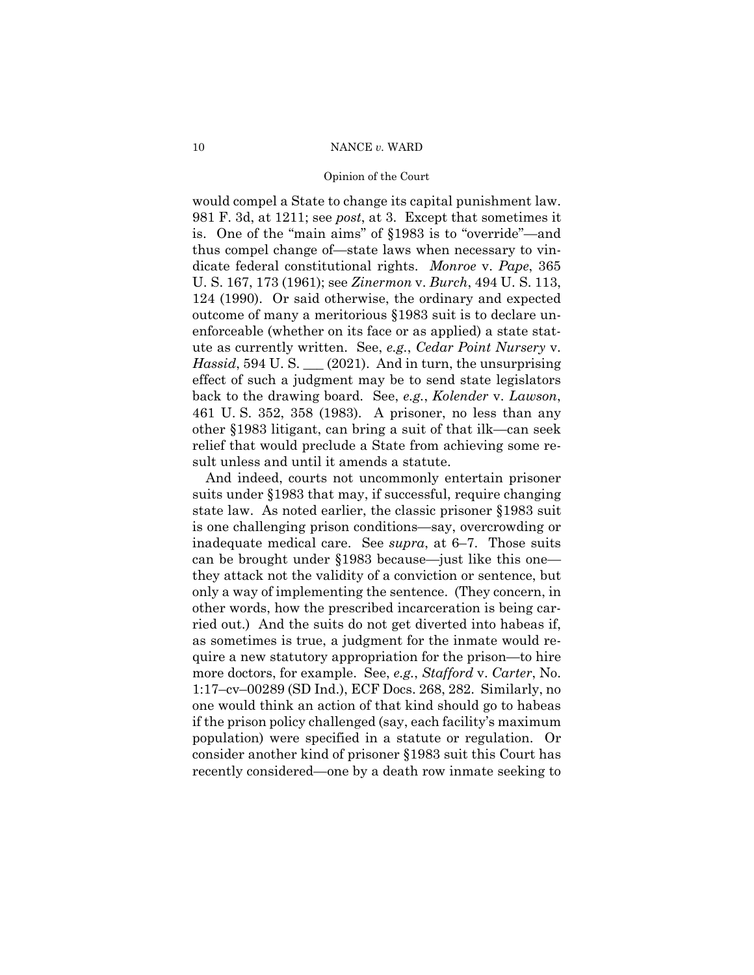#### Opinion of the Court

would compel a State to change its capital punishment law. 981 F. 3d, at 1211; see *post*, at 3. Except that sometimes it is. One of the "main aims" of §1983 is to "override"—and thus compel change of—state laws when necessary to vindicate federal constitutional rights. *Monroe* v. *Pape*, 365 U. S. 167, 173 (1961); see *Zinermon* v. *Burch*, 494 U. S. 113, 124 (1990). Or said otherwise, the ordinary and expected outcome of many a meritorious §1983 suit is to declare unenforceable (whether on its face or as applied) a state statute as currently written. See, *e.g.*, *Cedar Point Nursery* v. *Hassid*, 594 U.S. \_\_ (2021). And in turn, the unsurprising effect of such a judgment may be to send state legislators back to the drawing board. See, *e.g.*, *Kolender* v. *Lawson*, 461 U. S. 352, 358 (1983). A prisoner, no less than any other §1983 litigant, can bring a suit of that ilk—can seek relief that would preclude a State from achieving some result unless and until it amends a statute.

And indeed, courts not uncommonly entertain prisoner suits under §1983 that may, if successful, require changing state law. As noted earlier, the classic prisoner §1983 suit is one challenging prison conditions—say, overcrowding or inadequate medical care. See *supra*, at 6–7. Those suits can be brought under §1983 because—just like this one they attack not the validity of a conviction or sentence, but only a way of implementing the sentence. (They concern, in other words, how the prescribed incarceration is being carried out.) And the suits do not get diverted into habeas if, as sometimes is true, a judgment for the inmate would require a new statutory appropriation for the prison—to hire more doctors, for example. See, *e.g.*, *Stafford* v. *Carter*, No. 1:17–cv–00289 (SD Ind.), ECF Docs. 268, 282. Similarly, no one would think an action of that kind should go to habeas if the prison policy challenged (say, each facility's maximum population) were specified in a statute or regulation. Or consider another kind of prisoner §1983 suit this Court has recently considered—one by a death row inmate seeking to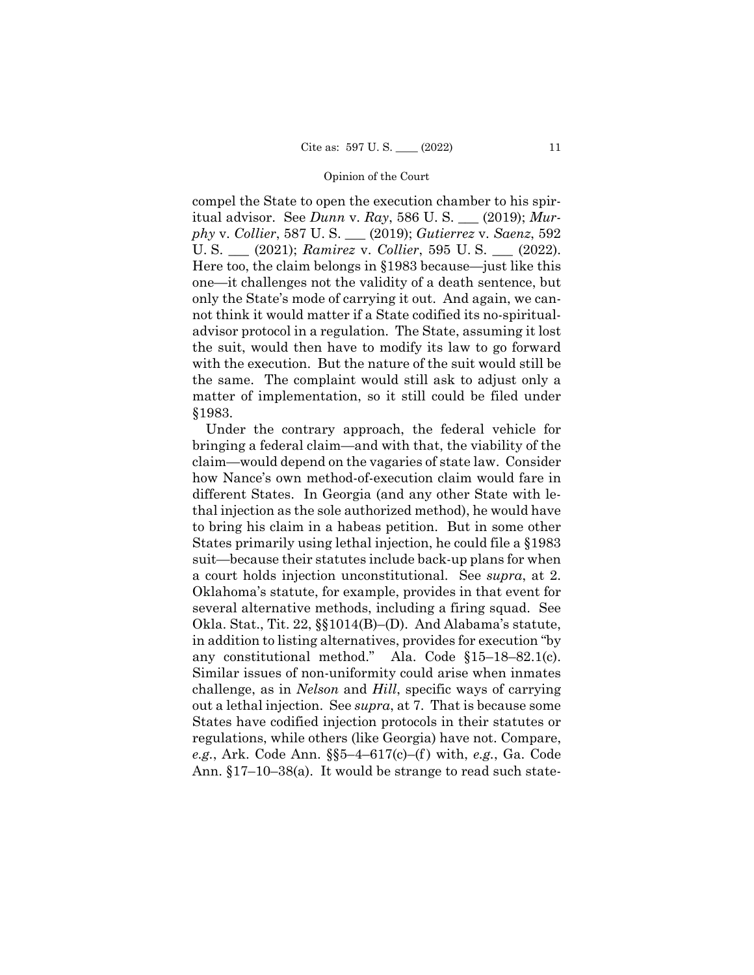compel the State to open the execution chamber to his spiritual advisor. See *Dunn* v. *Ray*, 586 U. S. \_\_\_ (2019); *Murphy* v. *Collier*, 587 U. S. \_\_\_ (2019); *Gutierrez* v. *Saenz*, 592 U. S. \_\_\_ (2021); *Ramirez* v. *Collier*, 595 U. S. \_\_\_ (2022). Here too, the claim belongs in §1983 because—just like this one—it challenges not the validity of a death sentence, but only the State's mode of carrying it out. And again, we cannot think it would matter if a State codified its no-spiritualadvisor protocol in a regulation. The State, assuming it lost the suit, would then have to modify its law to go forward with the execution. But the nature of the suit would still be the same. The complaint would still ask to adjust only a matter of implementation, so it still could be filed under §1983.

Under the contrary approach, the federal vehicle for bringing a federal claim—and with that, the viability of the claim—would depend on the vagaries of state law. Consider how Nance's own method-of-execution claim would fare in different States. In Georgia (and any other State with lethal injection as the sole authorized method), he would have to bring his claim in a habeas petition. But in some other States primarily using lethal injection, he could file a §1983 suit—because their statutes include back-up plans for when a court holds injection unconstitutional. See *supra*, at 2. Oklahoma's statute, for example, provides in that event for several alternative methods, including a firing squad. See Okla. Stat., Tit. 22, §§1014(B)–(D). And Alabama's statute, in addition to listing alternatives, provides for execution "by any constitutional method." Ala. Code §15–18–82.1(c). Similar issues of non-uniformity could arise when inmates challenge, as in *Nelson* and *Hill*, specific ways of carrying out a lethal injection. See *supra*, at 7. That is because some States have codified injection protocols in their statutes or regulations, while others (like Georgia) have not. Compare, *e.g.*, Ark. Code Ann. §§5–4–617(c)–(f ) with, *e.g.*, Ga. Code Ann. §17–10–38(a). It would be strange to read such state-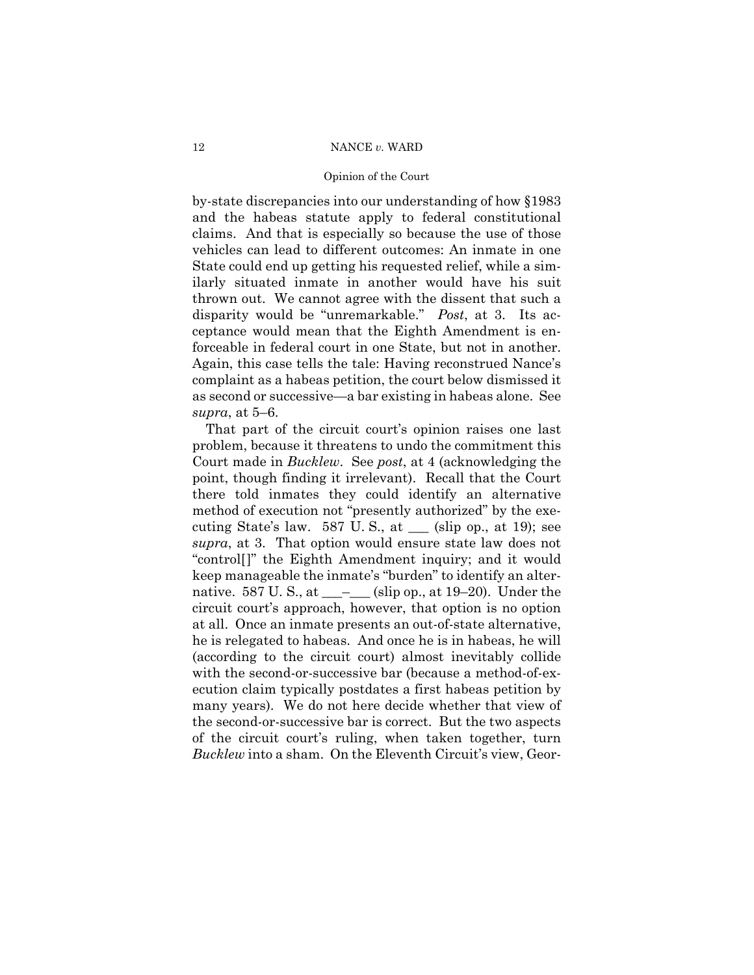#### Opinion of the Court

by-state discrepancies into our understanding of how §1983 and the habeas statute apply to federal constitutional claims. And that is especially so because the use of those vehicles can lead to different outcomes: An inmate in one State could end up getting his requested relief, while a similarly situated inmate in another would have his suit thrown out. We cannot agree with the dissent that such a disparity would be "unremarkable." *Post*, at 3. Its acceptance would mean that the Eighth Amendment is enforceable in federal court in one State, but not in another. Again, this case tells the tale: Having reconstrued Nance's complaint as a habeas petition, the court below dismissed it as second or successive—a bar existing in habeas alone. See *supra*, at 5–6.

That part of the circuit court's opinion raises one last problem, because it threatens to undo the commitment this Court made in *Bucklew*. See *post*, at 4 (acknowledging the point, though finding it irrelevant). Recall that the Court there told inmates they could identify an alternative method of execution not "presently authorized" by the executing State's law. 587 U.S., at  $\_\_$  (slip op., at 19); see *supra*, at 3. That option would ensure state law does not "control[]" the Eighth Amendment inquiry; and it would keep manageable the inmate's "burden" to identify an alternative. 587 U.S., at  $\_\_\_\_\_$  (slip op., at 19–20). Under the circuit court's approach, however, that option is no option at all. Once an inmate presents an out-of-state alternative, he is relegated to habeas. And once he is in habeas, he will (according to the circuit court) almost inevitably collide with the second-or-successive bar (because a method-of-execution claim typically postdates a first habeas petition by many years). We do not here decide whether that view of the second-or-successive bar is correct. But the two aspects of the circuit court's ruling, when taken together, turn *Bucklew* into a sham. On the Eleventh Circuit's view, Geor-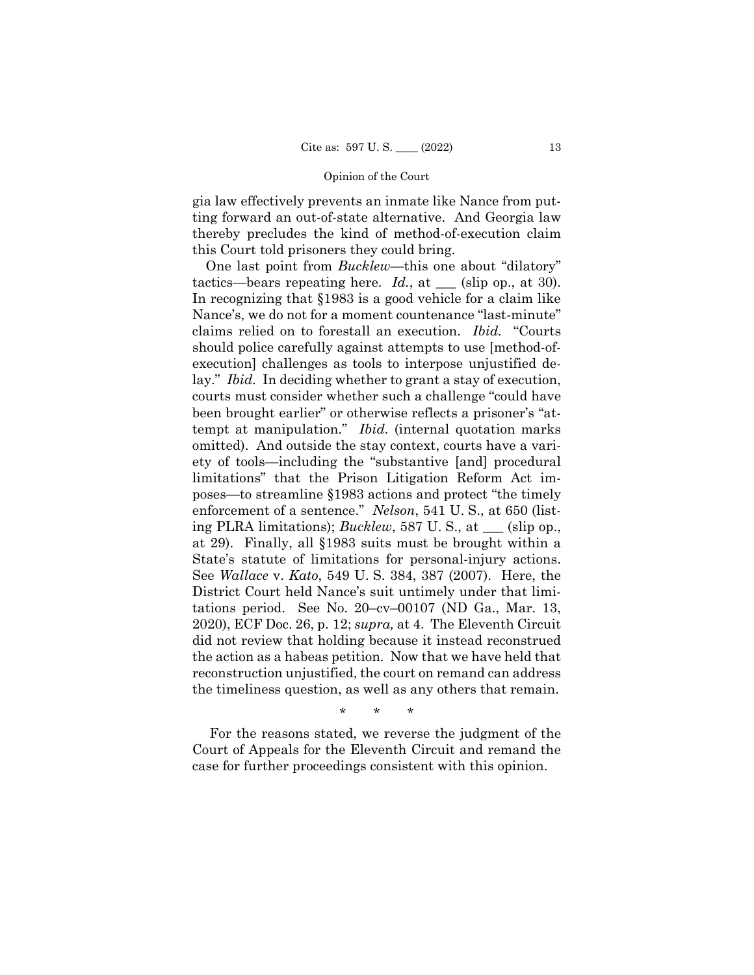gia law effectively prevents an inmate like Nance from putting forward an out-of-state alternative. And Georgia law thereby precludes the kind of method-of-execution claim this Court told prisoners they could bring.

One last point from *Bucklew*—this one about "dilatory" tactics—bears repeating here. *Id.*, at \_\_\_ (slip op., at 30). In recognizing that §1983 is a good vehicle for a claim like Nance's, we do not for a moment countenance "last-minute" claims relied on to forestall an execution. *Ibid.* "Courts should police carefully against attempts to use [method-ofexecution] challenges as tools to interpose unjustified delay." *Ibid.* In deciding whether to grant a stay of execution, courts must consider whether such a challenge "could have been brought earlier" or otherwise reflects a prisoner's "attempt at manipulation." *Ibid.* (internal quotation marks omitted). And outside the stay context, courts have a variety of tools—including the "substantive [and] procedural limitations" that the Prison Litigation Reform Act imposes—to streamline §1983 actions and protect "the timely enforcement of a sentence." *Nelson*, 541 U. S., at 650 (listing PLRA limitations); *Bucklew*, 587 U. S., at \_\_\_ (slip op., at 29). Finally, all §1983 suits must be brought within a State's statute of limitations for personal-injury actions. See *Wallace* v. *Kato*, 549 U. S. 384, 387 (2007). Here, the District Court held Nance's suit untimely under that limitations period. See No. 20–cv–00107 (ND Ga., Mar. 13, 2020), ECF Doc. 26, p. 12; *supra,* at 4. The Eleventh Circuit did not review that holding because it instead reconstrued the action as a habeas petition. Now that we have held that reconstruction unjustified, the court on remand can address the timeliness question, as well as any others that remain.

\* \* \*

For the reasons stated, we reverse the judgment of the Court of Appeals for the Eleventh Circuit and remand the case for further proceedings consistent with this opinion.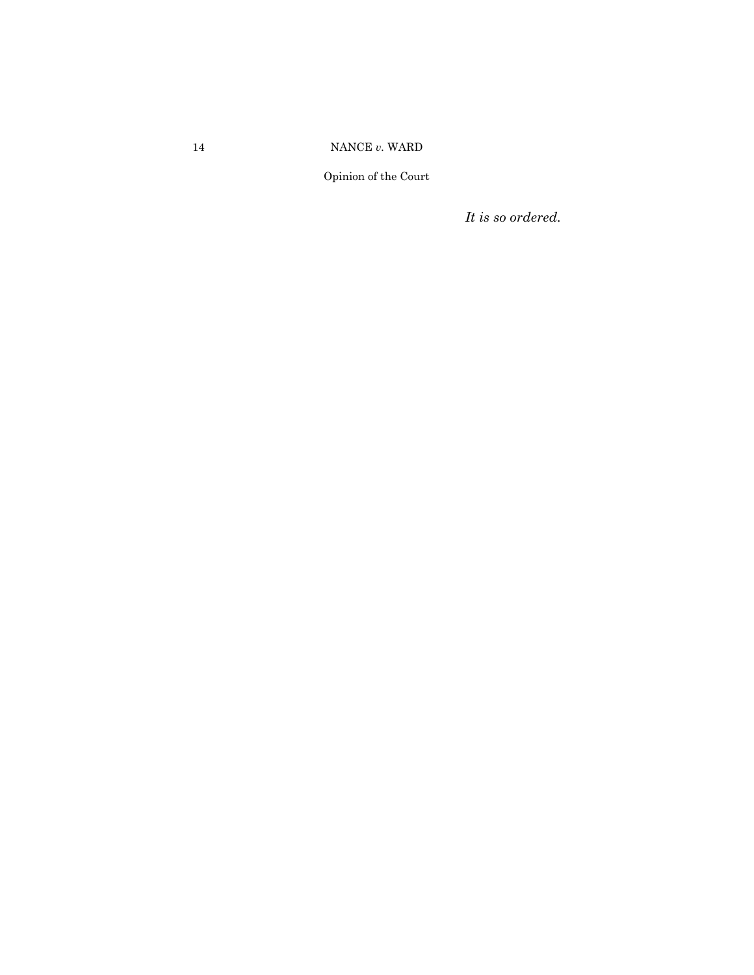Opinion of the Court

*It is so ordered.*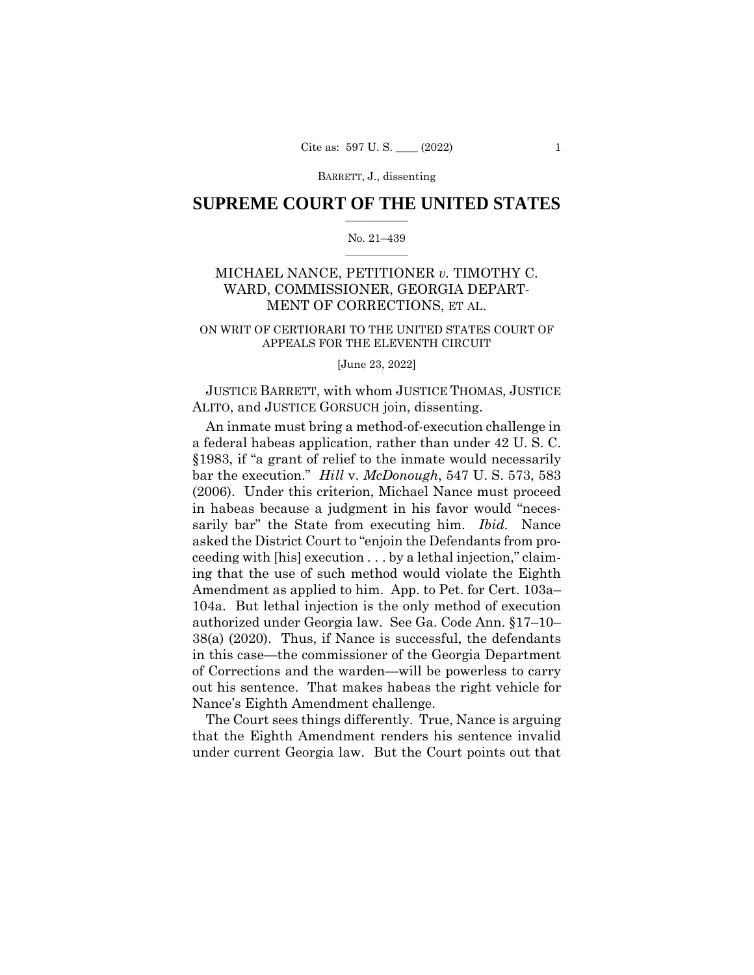## $\frac{1}{2}$  ,  $\frac{1}{2}$  ,  $\frac{1}{2}$  ,  $\frac{1}{2}$  ,  $\frac{1}{2}$  ,  $\frac{1}{2}$  ,  $\frac{1}{2}$ **SUPREME COURT OF THE UNITED STATES**

#### $\frac{1}{2}$  ,  $\frac{1}{2}$  ,  $\frac{1}{2}$  ,  $\frac{1}{2}$  ,  $\frac{1}{2}$  ,  $\frac{1}{2}$ No. 21–439

## MICHAEL NANCE, PETITIONER *v.* TIMOTHY C. WARD, COMMISSIONER, GEORGIA DEPART-MENT OF CORRECTIONS, ET AL.

### ON WRIT OF CERTIORARI TO THE UNITED STATES COURT OF APPEALS FOR THE ELEVENTH CIRCUIT

#### [June 23, 2022]

JUSTICE BARRETT, with whom JUSTICE THOMAS, JUSTICE ALITO, and JUSTICE GORSUCH join, dissenting.

An inmate must bring a method-of-execution challenge in a federal habeas application, rather than under 42 U. S. C. §1983, if "a grant of relief to the inmate would necessarily bar the execution." *Hill* v. *McDonough*, 547 U. S. 573, 583 (2006). Under this criterion, Michael Nance must proceed in habeas because a judgment in his favor would "necessarily bar" the State from executing him. *Ibid.* Nance asked the District Court to "enjoin the Defendants from proceeding with [his] execution . . . by a lethal injection," claiming that the use of such method would violate the Eighth Amendment as applied to him. App. to Pet. for Cert. 103a– 104a. But lethal injection is the only method of execution authorized under Georgia law. See Ga. Code Ann. §17–10– 38(a) (2020). Thus, if Nance is successful, the defendants in this case—the commissioner of the Georgia Department of Corrections and the warden—will be powerless to carry out his sentence. That makes habeas the right vehicle for Nance's Eighth Amendment challenge.

The Court sees things differently. True, Nance is arguing that the Eighth Amendment renders his sentence invalid under current Georgia law. But the Court points out that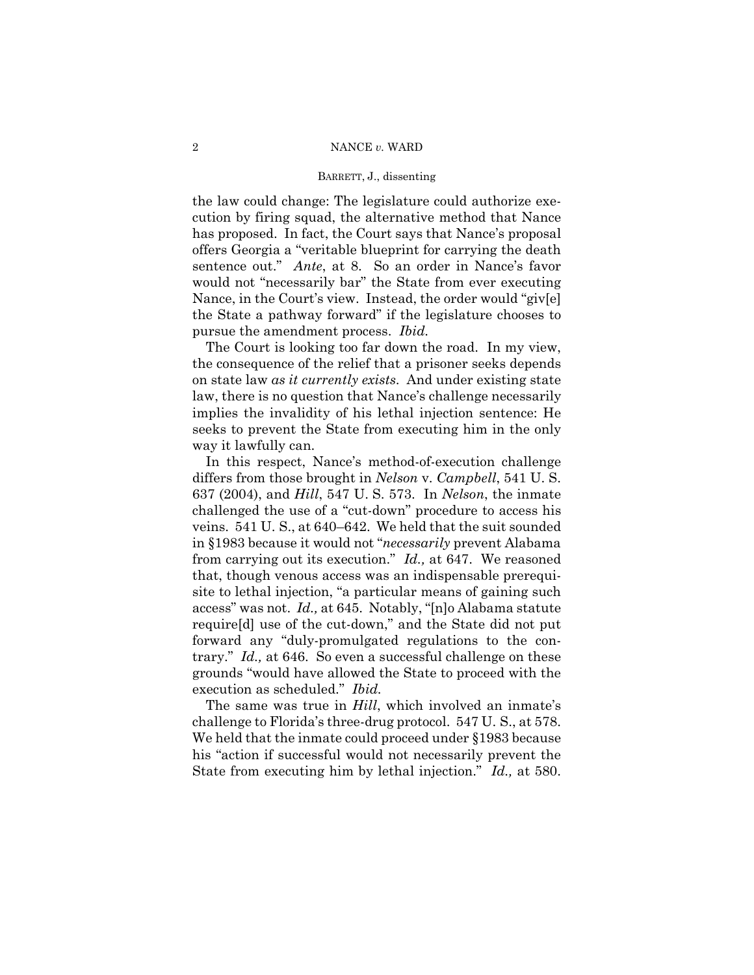the law could change: The legislature could authorize execution by firing squad, the alternative method that Nance has proposed. In fact, the Court says that Nance's proposal offers Georgia a "veritable blueprint for carrying the death sentence out." *Ante*, at 8. So an order in Nance's favor would not "necessarily bar" the State from ever executing Nance, in the Court's view. Instead, the order would "giv[e] the State a pathway forward" if the legislature chooses to pursue the amendment process. *Ibid.* 

The Court is looking too far down the road. In my view, the consequence of the relief that a prisoner seeks depends on state law *as it currently exists*. And under existing state law, there is no question that Nance's challenge necessarily implies the invalidity of his lethal injection sentence: He seeks to prevent the State from executing him in the only way it lawfully can.

In this respect, Nance's method-of-execution challenge differs from those brought in *Nelson* v. *Campbell*, 541 U. S. 637 (2004), and *Hill*, 547 U. S. 573. In *Nelson*, the inmate challenged the use of a "cut-down" procedure to access his veins. 541 U. S., at 640–642. We held that the suit sounded in §1983 because it would not "*necessarily* prevent Alabama from carrying out its execution." *Id.,* at 647. We reasoned that, though venous access was an indispensable prerequisite to lethal injection, "a particular means of gaining such access" was not. *Id.,* at 645. Notably, "[n]o Alabama statute require[d] use of the cut-down," and the State did not put forward any "duly-promulgated regulations to the contrary." *Id.,* at 646. So even a successful challenge on these grounds "would have allowed the State to proceed with the execution as scheduled." *Ibid.* 

The same was true in *Hill*, which involved an inmate's challenge to Florida's three-drug protocol. 547 U. S., at 578. We held that the inmate could proceed under §1983 because his "action if successful would not necessarily prevent the State from executing him by lethal injection." *Id.,* at 580.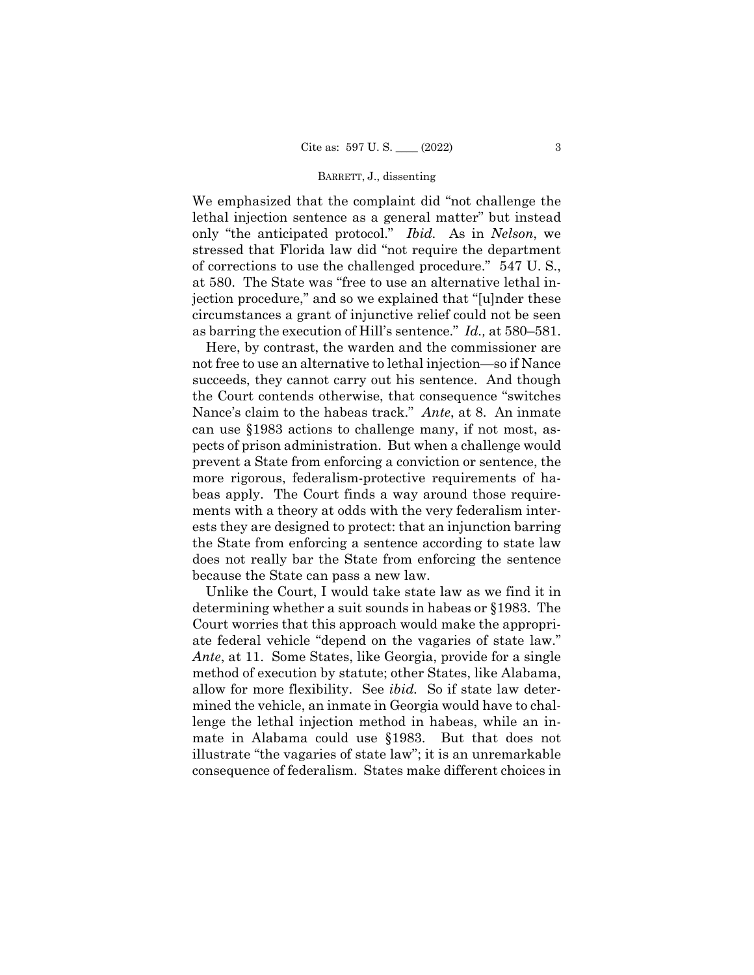We emphasized that the complaint did "not challenge the lethal injection sentence as a general matter" but instead only "the anticipated protocol." *Ibid.* As in *Nelson*, we stressed that Florida law did "not require the department of corrections to use the challenged procedure." 547 U. S., at 580. The State was "free to use an alternative lethal injection procedure," and so we explained that "[u]nder these circumstances a grant of injunctive relief could not be seen as barring the execution of Hill's sentence." *Id.,* at 580–581.

Here, by contrast, the warden and the commissioner are not free to use an alternative to lethal injection—so if Nance succeeds, they cannot carry out his sentence. And though the Court contends otherwise, that consequence "switches Nance's claim to the habeas track." *Ante*, at 8. An inmate can use §1983 actions to challenge many, if not most, aspects of prison administration. But when a challenge would prevent a State from enforcing a conviction or sentence, the more rigorous, federalism-protective requirements of habeas apply. The Court finds a way around those requirements with a theory at odds with the very federalism interests they are designed to protect: that an injunction barring the State from enforcing a sentence according to state law does not really bar the State from enforcing the sentence because the State can pass a new law.

Unlike the Court, I would take state law as we find it in determining whether a suit sounds in habeas or §1983. The Court worries that this approach would make the appropriate federal vehicle "depend on the vagaries of state law." *Ante*, at 11. Some States, like Georgia, provide for a single method of execution by statute; other States, like Alabama, allow for more flexibility. See *ibid.* So if state law determined the vehicle, an inmate in Georgia would have to challenge the lethal injection method in habeas, while an inmate in Alabama could use §1983. But that does not illustrate "the vagaries of state law"; it is an unremarkable consequence of federalism. States make different choices in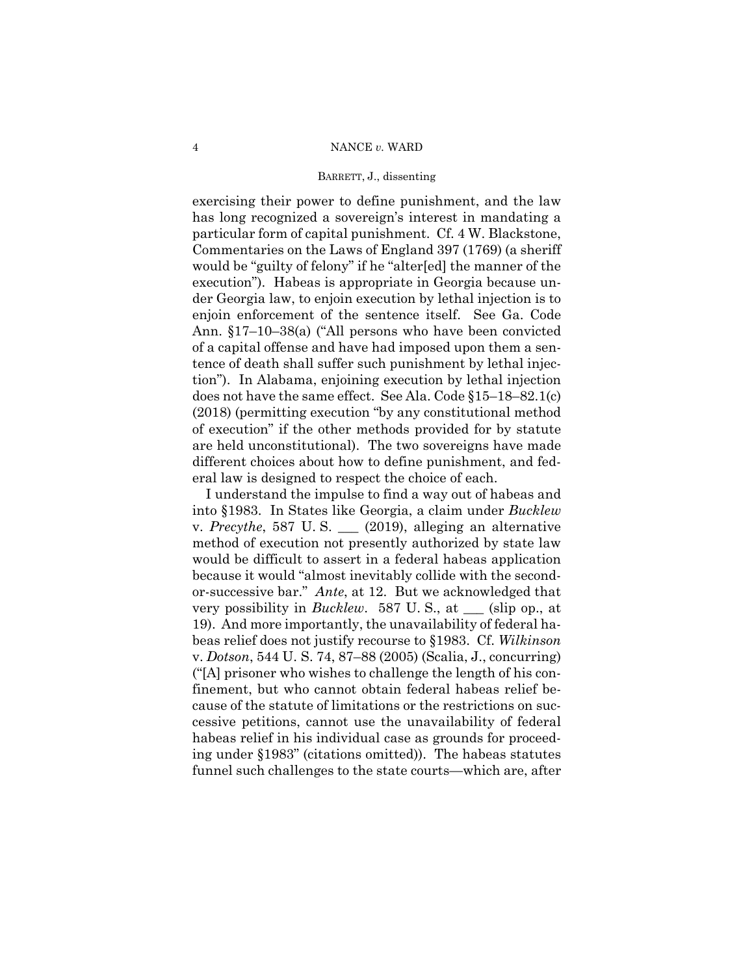exercising their power to define punishment, and the law has long recognized a sovereign's interest in mandating a particular form of capital punishment. Cf. 4 W. Blackstone, Commentaries on the Laws of England 397 (1769) (a sheriff would be "guilty of felony" if he "alter[ed] the manner of the execution"). Habeas is appropriate in Georgia because under Georgia law, to enjoin execution by lethal injection is to enjoin enforcement of the sentence itself. See Ga. Code Ann. §17–10–38(a) ("All persons who have been convicted of a capital offense and have had imposed upon them a sentence of death shall suffer such punishment by lethal injection"). In Alabama, enjoining execution by lethal injection does not have the same effect. See Ala. Code §15–18–82.1(c) (2018) (permitting execution "by any constitutional method of execution" if the other methods provided for by statute are held unconstitutional). The two sovereigns have made different choices about how to define punishment, and federal law is designed to respect the choice of each.

I understand the impulse to find a way out of habeas and into §1983. In States like Georgia, a claim under *Bucklew*  v. *Precythe*, 587 U. S. \_\_\_ (2019), alleging an alternative method of execution not presently authorized by state law would be difficult to assert in a federal habeas application because it would "almost inevitably collide with the secondor-successive bar." *Ante*, at 12. But we acknowledged that very possibility in *Bucklew*. 587 U. S., at \_\_\_ (slip op., at 19). And more importantly, the unavailability of federal habeas relief does not justify recourse to §1983. Cf. *Wilkinson*  v. *Dotson*, 544 U. S. 74, 87–88 (2005) (Scalia, J., concurring) ("[A] prisoner who wishes to challenge the length of his confinement, but who cannot obtain federal habeas relief because of the statute of limitations or the restrictions on successive petitions, cannot use the unavailability of federal habeas relief in his individual case as grounds for proceeding under §1983" (citations omitted)). The habeas statutes funnel such challenges to the state courts—which are, after